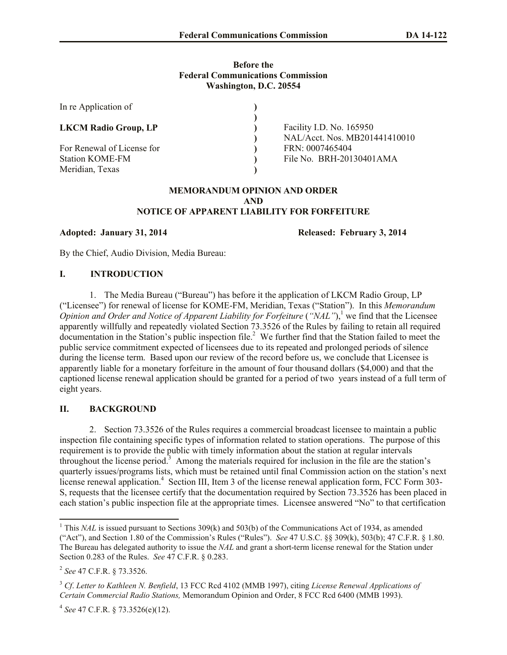## **Before the Federal Communications Commission Washington, D.C. 20554**

| In re Application of                                                    |                                                           |
|-------------------------------------------------------------------------|-----------------------------------------------------------|
| <b>LKCM Radio Group, LP</b>                                             | Facility I.D. No. 165950<br>NAL/Acct. Nos. MB201441410010 |
| For Renewal of License for<br><b>Station KOME-FM</b><br>Meridian, Texas | FRN: 0007465404<br>File No. BRH-20130401AMA               |

## **MEMORANDUM OPINION AND ORDER AND NOTICE OF APPARENT LIABILITY FOR FORFEITURE**

**Adopted: January 31, 2014 Released: February 3, 2014** 

By the Chief, Audio Division, Media Bureau:

## **I. INTRODUCTION**

1. The Media Bureau ("Bureau") has before it the application of LKCM Radio Group, LP ("Licensee") for renewal of license for KOME-FM, Meridian, Texas ("Station"). In this *Memorandum Opinion and Order and Notice of Apparent Liability for Forfeiture ("NAL")*,<sup>1</sup> we find that the Licensee apparently willfully and repeatedly violated Section 73.3526 of the Rules by failing to retain all required documentation in the Station's public inspection file. 2 We further find that the Station failed to meet the public service commitment expected of licensees due to its repeated and prolonged periods of silence during the license term. Based upon our review of the record before us, we conclude that Licensee is apparently liable for a monetary forfeiture in the amount of four thousand dollars (\$4,000) and that the captioned license renewal application should be granted for a period of two years instead of a full term of eight years.

## **II. BACKGROUND**

2. Section 73.3526 of the Rules requires a commercial broadcast licensee to maintain a public inspection file containing specific types of information related to station operations. The purpose of this requirement is to provide the public with timely information about the station at regular intervals throughout the license period.<sup>3</sup> Among the materials required for inclusion in the file are the station's quarterly issues/programs lists, which must be retained until final Commission action on the station's next license renewal application.<sup>4</sup> Section III, Item 3 of the license renewal application form, FCC Form 303-S, requests that the licensee certify that the documentation required by Section 73.3526 has been placed in each station's public inspection file at the appropriate times. Licensee answered "No" to that certification

l

4 *See* 47 C.F.R. § 73.3526(e)(12).

<sup>&</sup>lt;sup>1</sup> This *NAL* is issued pursuant to Sections 309(k) and 503(b) of the Communications Act of 1934, as amended ("Act"), and Section 1.80 of the Commission's Rules ("Rules"). *See* 47 U.S.C. §§ 309(k), 503(b); 47 C.F.R. § 1.80. The Bureau has delegated authority to issue the *NAL* and grant a short-term license renewal for the Station under Section 0.283 of the Rules. *See* 47 C.F.R. § 0.283.

<sup>2</sup> *See* 47 C.F.R. § 73.3526.

<sup>3</sup> *Cf*. *Letter to Kathleen N. Benfield*, 13 FCC Rcd 4102 (MMB 1997), citing *License Renewal Applications of Certain Commercial Radio Stations,* Memorandum Opinion and Order, 8 FCC Rcd 6400 (MMB 1993).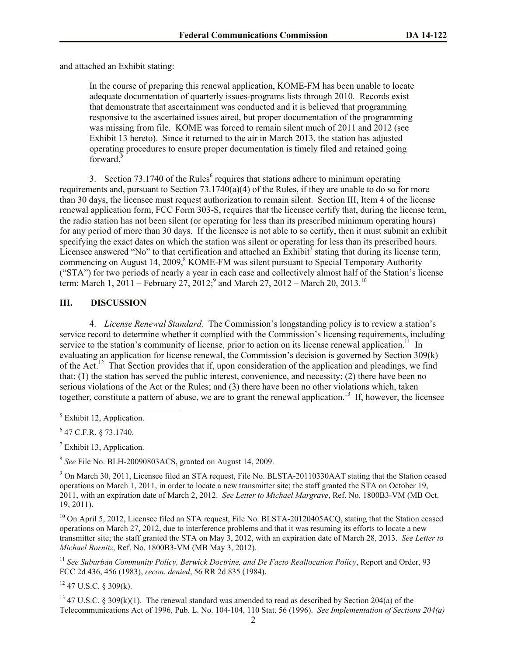and attached an Exhibit stating:

In the course of preparing this renewal application, KOME-FM has been unable to locate adequate documentation of quarterly issues-programs lists through 2010. Records exist that demonstrate that ascertainment was conducted and it is believed that programming responsive to the ascertained issues aired, but proper documentation of the programming was missing from file. KOME was forced to remain silent much of 2011 and 2012 (see Exhibit 13 hereto). Since it returned to the air in March 2013, the station has adjusted operating procedures to ensure proper documentation is timely filed and retained going forward.<sup>5</sup>

3. Section  $73.1740$  of the Rules<sup>6</sup> requires that stations adhere to minimum operating requirements and, pursuant to Section  $73.1740(a)(4)$  of the Rules, if they are unable to do so for more than 30 days, the licensee must request authorization to remain silent. Section III, Item 4 of the license renewal application form, FCC Form 303-S, requires that the licensee certify that, during the license term, the radio station has not been silent (or operating for less than its prescribed minimum operating hours) for any period of more than 30 days. If the licensee is not able to so certify, then it must submit an exhibit specifying the exact dates on which the station was silent or operating for less than its prescribed hours. Licensee answered "No" to that certification and attached an  $\hat{\text{Exhibit}}^7$  stating that during its license term, commencing on August 14, 2009,<sup>8</sup> KOME-FM was silent pursuant to Special Temporary Authority ("STA") for two periods of nearly a year in each case and collectively almost half of the Station's license term: March 1, 2011 – February 27, 2012;<sup>9</sup> and March 27, 2012 – March 20, 2013.<sup>10</sup>

## **III. DISCUSSION**

4. *License Renewal Standard.* The Commission's longstanding policy is to review a station's service record to determine whether it complied with the Commission's licensing requirements, including service to the station's community of license, prior to action on its license renewal application.<sup>11</sup> In evaluating an application for license renewal, the Commission's decision is governed by Section 309(k) of the Act.<sup>12</sup> That Section provides that if, upon consideration of the application and pleadings, we find that: (1) the station has served the public interest, convenience, and necessity; (2) there have been no serious violations of the Act or the Rules; and (3) there have been no other violations which, taken together, constitute a pattern of abuse, we are to grant the renewal application.<sup>13</sup> If, however, the licensee

l

 $<sup>7</sup>$  Exhibit 13, Application.</sup>

8 *See* File No. BLH-20090803ACS, granted on August 14, 2009.

<sup>9</sup> On March 30, 2011, Licensee filed an STA request, File No. BLSTA-20110330AAT stating that the Station ceased operations on March 1, 2011, in order to locate a new transmitter site; the staff granted the STA on October 19, 2011, with an expiration date of March 2, 2012. *See Letter to Michael Margrave*, Ref. No. 1800B3-VM (MB Oct. 19, 2011).

<sup>10</sup> On April 5, 2012, Licensee filed an STA request, File No. BLSTA-20120405ACQ, stating that the Station ceased operations on March 27, 2012, due to interference problems and that it was resuming its efforts to locate a new transmitter site; the staff granted the STA on May 3, 2012, with an expiration date of March 28, 2013. *See Letter to Michael Bornitz*, Ref. No. 1800B3-VM (MB May 3, 2012).

<sup>11</sup> *See Suburban Community Policy, Berwick Doctrine, and De Facto Reallocation Policy*, Report and Order, 93 FCC 2d 436, 456 (1983), *recon. denied*, 56 RR 2d 835 (1984).

 $12$  47 U.S.C. § 309(k).

<sup>13</sup> 47 U.S.C. § 309(k)(1). The renewal standard was amended to read as described by Section 204(a) of the Telecommunications Act of 1996, Pub. L. No. 104-104, 110 Stat. 56 (1996). *See Implementation of Sections 204(a)* 

<sup>&</sup>lt;sup>5</sup> Exhibit 12, Application.

 $6$  47 C.F.R. § 73.1740.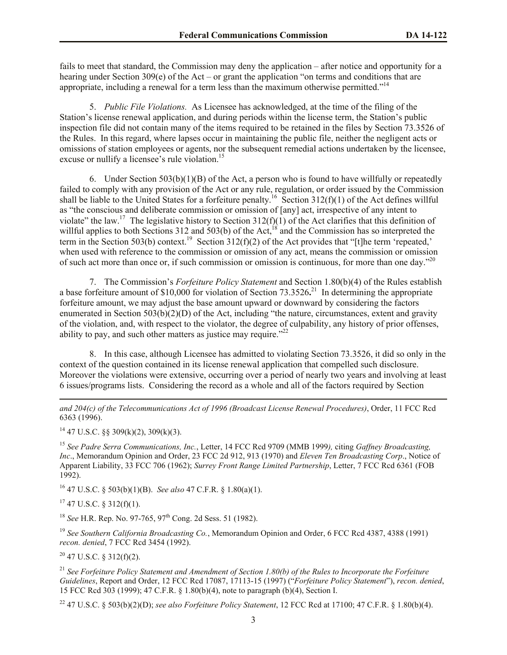fails to meet that standard, the Commission may deny the application – after notice and opportunity for a hearing under Section 309(e) of the Act – or grant the application "on terms and conditions that are appropriate, including a renewal for a term less than the maximum otherwise permitted."<sup>14</sup>

5. *Public File Violations.* As Licensee has acknowledged, at the time of the filing of the Station's license renewal application, and during periods within the license term, the Station's public inspection file did not contain many of the items required to be retained in the files by Section 73.3526 of the Rules. In this regard, where lapses occur in maintaining the public file, neither the negligent acts or omissions of station employees or agents, nor the subsequent remedial actions undertaken by the licensee, excuse or nullify a licensee's rule violation.<sup>15</sup>

6. Under Section  $503(b)(1)(B)$  of the Act, a person who is found to have willfully or repeatedly failed to comply with any provision of the Act or any rule, regulation, or order issued by the Commission shall be liable to the United States for a forfeiture penalty.<sup>16</sup> Section 312(f)(1) of the Act defines willful as "the conscious and deliberate commission or omission of [any] act, irrespective of any intent to violate" the law.<sup>17</sup> The legislative history to Section 312(f)(1) of the Act clarifies that this definition of willful applies to both Sections 312 and 503(b) of the Act,<sup>18</sup> and the Commission has so interpreted the term in the Section 503(b) context.<sup>19</sup> Section 312(f)(2) of the Act provides that "[t]he term 'repeated,' when used with reference to the commission or omission of any act, means the commission or omission of such act more than once or, if such commission or omission is continuous, for more than one day." $^{20}$ 

7. The Commission's *Forfeiture Policy Statement* and Section 1.80(b)(4) of the Rules establish a base forfeiture amount of  $$10,000$  for violation of Section 73.3526<sup>21</sup> In determining the appropriate forfeiture amount, we may adjust the base amount upward or downward by considering the factors enumerated in Section 503(b)(2)(D) of the Act, including "the nature, circumstances, extent and gravity of the violation, and, with respect to the violator, the degree of culpability, any history of prior offenses, ability to pay, and such other matters as justice may require. $122$ 

8. In this case, although Licensee has admitted to violating Section 73.3526, it did so only in the context of the question contained in its license renewal application that compelled such disclosure. Moreover the violations were extensive, occurring over a period of nearly two years and involving at least 6 issues/programs lists. Considering the record as a whole and all of the factors required by Section

*and 204(c) of the Telecommunications Act of 1996 (Broadcast License Renewal Procedures)*, Order, 11 FCC Rcd 6363 (1996).

 $14$  47 U.S.C. §§ 309(k)(2), 309(k)(3).

<sup>15</sup> *See Padre Serra Communications, Inc.*, Letter, 14 FCC Rcd 9709 (MMB 1999*),* citing *Gaffney Broadcasting, Inc*., Memorandum Opinion and Order, 23 FCC 2d 912, 913 (1970) and *Eleven Ten Broadcasting Corp*., Notice of Apparent Liability, 33 FCC 706 (1962); *Surrey Front Range Limited Partnership*, Letter, 7 FCC Rcd 6361 (FOB 1992).

<sup>16</sup> 47 U.S.C. § 503(b)(1)(B). *See also* 47 C.F.R. § 1.80(a)(1).

 $17$  47 U.S.C. § 312(f)(1).

l

<sup>18</sup> *See* H.R. Rep. No. 97-765, 97<sup>th</sup> Cong. 2d Sess. 51 (1982).

<sup>19</sup> *See Southern California Broadcasting Co.*, Memorandum Opinion and Order, 6 FCC Rcd 4387, 4388 (1991) *recon. denied*, 7 FCC Rcd 3454 (1992).

 $20$  47 U.S.C. § 312(f)(2).

<sup>21</sup> *See Forfeiture Policy Statement and Amendment of Section 1.80(b) of the Rules to Incorporate the Forfeiture Guidelines*, Report and Order, 12 FCC Rcd 17087, 17113-15 (1997) ("*Forfeiture Policy Statement*"), *recon. denied*, 15 FCC Rcd 303 (1999); 47 C.F.R. § 1.80(b)(4), note to paragraph (b)(4), Section I.

<sup>22</sup> 47 U.S.C. § 503(b)(2)(D); *see also Forfeiture Policy Statement*, 12 FCC Rcd at 17100; 47 C.F.R. § 1.80(b)(4).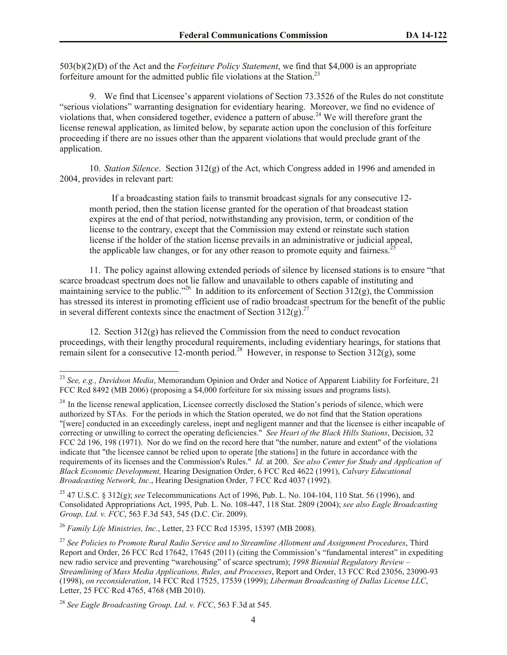503(b)(2)(D) of the Act and the *Forfeiture Policy Statement*, we find that \$4,000 is an appropriate forfeiture amount for the admitted public file violations at the Station.<sup>23</sup>

9. We find that Licensee's apparent violations of Section 73.3526 of the Rules do not constitute "serious violations" warranting designation for evidentiary hearing. Moreover, we find no evidence of violations that, when considered together, evidence a pattern of abuse.<sup>24</sup> We will therefore grant the license renewal application, as limited below, by separate action upon the conclusion of this forfeiture proceeding if there are no issues other than the apparent violations that would preclude grant of the application.

10. *Station Silence*. Section 312(g) of the Act, which Congress added in 1996 and amended in 2004, provides in relevant part:

If a broadcasting station fails to transmit broadcast signals for any consecutive 12 month period, then the station license granted for the operation of that broadcast station expires at the end of that period, notwithstanding any provision, term, or condition of the license to the contrary, except that the Commission may extend or reinstate such station license if the holder of the station license prevails in an administrative or judicial appeal, the applicable law changes, or for any other reason to promote equity and fairness.<sup>2</sup>

11. The policy against allowing extended periods of silence by licensed stations is to ensure "that scarce broadcast spectrum does not lie fallow and unavailable to others capable of instituting and maintaining service to the public."<sup>26</sup> In addition to its enforcement of Section 312(g), the Commission has stressed its interest in promoting efficient use of radio broadcast spectrum for the benefit of the public in several different contexts since the enactment of Section  $312(g)^{27}$ 

12. Section  $312(g)$  has relieved the Commission from the need to conduct revocation proceedings, with their lengthy procedural requirements, including evidentiary hearings, for stations that remain silent for a consecutive 12-month period.<sup>28</sup> However, in response to Section  $312(g)$ , some

<sup>25</sup> 47 U.S.C. § 312(g); *see* Telecommunications Act of 1996, Pub. L. No. 104-104, 110 Stat. 56 (1996), and Consolidated Appropriations Act, 1995, Pub. L. No. 108-447, 118 Stat. 2809 (2004); *see also Eagle Broadcasting Group, Ltd. v. FCC*, 563 F.3d 543, 545 (D.C. Cir. 2009).

<sup>26</sup> *Family Life Ministries, Inc.*, Letter, 23 FCC Rcd 15395, 15397 (MB 2008).

 $\overline{\phantom{a}}$ 

<sup>23</sup> *See, e.g., Davidson Media*, Memorandum Opinion and Order and Notice of Apparent Liability for Forfeiture, 21 FCC Rcd 8492 (MB 2006) (proposing a \$4,000 forfeiture for six missing issues and programs lists).

 $^{24}$  In the license renewal application, Licensee correctly disclosed the Station's periods of silence, which were authorized by STAs. For the periods in which the Station operated, we do not find that the Station operations "[were] conducted in an exceedingly careless, inept and negligent manner and that the licensee is either incapable of correcting or unwilling to correct the operating deficiencies." *See Heart of the Black Hills Stations*, Decision, 32 FCC 2d 196, 198 (1971). Nor do we find on the record here that "the number, nature and extent" of the violations indicate that "the licensee cannot be relied upon to operate [the stations] in the future in accordance with the requirements of its licenses and the Commission's Rules." *Id.* at 200. *See also Center for Study and Application of Black Economic Development,* Hearing Designation Order, 6 FCC Rcd 4622 (1991), *Calvary Educational Broadcasting Network, Inc*., Hearing Designation Order, 7 FCC Rcd 4037 (1992).

<sup>27</sup> *See Policies to Promote Rural Radio Service and to Streamline Allotment and Assignment Procedures*, Third Report and Order, 26 FCC Rcd 17642, 17645 (2011) (citing the Commission's "fundamental interest" in expediting new radio service and preventing "warehousing" of scarce spectrum); *1998 Biennial Regulatory Review – Streamlining of Mass Media Applications, Rules, and Processes*, Report and Order, 13 FCC Rcd 23056, 23090-93 (1998), *on reconsideration*, 14 FCC Rcd 17525, 17539 (1999); *Liberman Broadcasting of Dallas License LLC*, Letter, 25 FCC Rcd 4765, 4768 (MB 2010).

<sup>28</sup> *See Eagle Broadcasting Group, Ltd. v. FCC*, 563 F.3d at 545.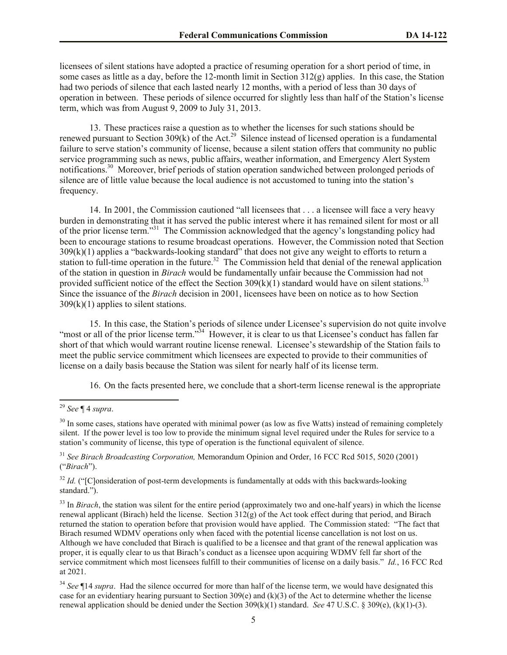licensees of silent stations have adopted a practice of resuming operation for a short period of time, in some cases as little as a day, before the 12-month limit in Section 312(g) applies. In this case, the Station had two periods of silence that each lasted nearly 12 months, with a period of less than 30 days of operation in between. These periods of silence occurred for slightly less than half of the Station's license term, which was from August 9, 2009 to July 31, 2013.

13. These practices raise a question as to whether the licenses for such stations should be renewed pursuant to Section  $309(k)$  of the Act.<sup>29</sup> Silence instead of licensed operation is a fundamental failure to serve station's community of license, because a silent station offers that community no public service programming such as news, public affairs, weather information, and Emergency Alert System notifications.<sup>30</sup> Moreover, brief periods of station operation sandwiched between prolonged periods of silence are of little value because the local audience is not accustomed to tuning into the station's frequency.

14. In 2001, the Commission cautioned "all licensees that . . . a licensee will face a very heavy burden in demonstrating that it has served the public interest where it has remained silent for most or all of the prior license term."<sup>31</sup> The Commission acknowledged that the agency's longstanding policy had been to encourage stations to resume broadcast operations. However, the Commission noted that Section 309(k)(1) applies a "backwards-looking standard" that does not give any weight to efforts to return a station to full-time operation in the future.<sup>32</sup> The Commission held that denial of the renewal application of the station in question in *Birach* would be fundamentally unfair because the Commission had not provided sufficient notice of the effect the Section  $309(k)(1)$  standard would have on silent stations.<sup>33</sup> Since the issuance of the *Birach* decision in 2001, licensees have been on notice as to how Section  $309(k)(1)$  applies to silent stations.

15. In this case, the Station's periods of silence under Licensee's supervision do not quite involve "most or all of the prior license term."<sup>34</sup> However, it is clear to us that Licensee's conduct has fallen far short of that which would warrant routine license renewal. Licensee's stewardship of the Station fails to meet the public service commitment which licensees are expected to provide to their communities of license on a daily basis because the Station was silent for nearly half of its license term.

16. On the facts presented here, we conclude that a short-term license renewal is the appropriate

 $\overline{\phantom{a}}$ 

<sup>29</sup> *See* ¶ 4 *supra*.

 $30$  In some cases, stations have operated with minimal power (as low as five Watts) instead of remaining completely silent. If the power level is too low to provide the minimum signal level required under the Rules for service to a station's community of license, this type of operation is the functional equivalent of silence.

<sup>31</sup> *See Birach Broadcasting Corporation,* Memorandum Opinion and Order, 16 FCC Rcd 5015, 5020 (2001) ("*Birach*").

<sup>&</sup>lt;sup>32</sup> *Id.* ("[C]onsideration of post-term developments is fundamentally at odds with this backwards-looking standard.").

<sup>&</sup>lt;sup>33</sup> In *Birach*, the station was silent for the entire period (approximately two and one-half years) in which the license renewal applicant (Birach) held the license. Section 312(g) of the Act took effect during that period, and Birach returned the station to operation before that provision would have applied. The Commission stated: "The fact that Birach resumed WDMV operations only when faced with the potential license cancellation is not lost on us. Although we have concluded that Birach is qualified to be a licensee and that grant of the renewal application was proper, it is equally clear to us that Birach's conduct as a licensee upon acquiring WDMV fell far short of the service commitment which most licensees fulfill to their communities of license on a daily basis." *Id.*, 16 FCC Rcd at 2021.

<sup>34</sup> *See* ¶14 *supra*. Had the silence occurred for more than half of the license term, we would have designated this case for an evidentiary hearing pursuant to Section 309(e) and  $(k)(3)$  of the Act to determine whether the license renewal application should be denied under the Section 309(k)(1) standard. *See* 47 U.S.C. § 309(e), (k)(1)-(3).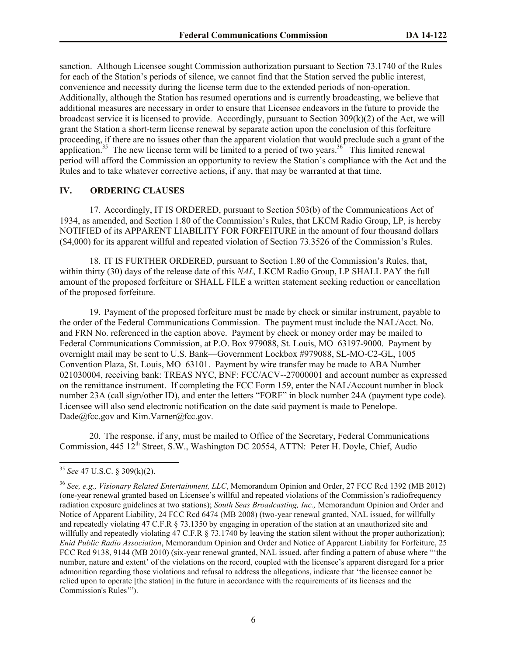sanction. Although Licensee sought Commission authorization pursuant to Section 73.1740 of the Rules for each of the Station's periods of silence, we cannot find that the Station served the public interest, convenience and necessity during the license term due to the extended periods of non-operation. Additionally, although the Station has resumed operations and is currently broadcasting, we believe that additional measures are necessary in order to ensure that Licensee endeavors in the future to provide the broadcast service it is licensed to provide. Accordingly, pursuant to Section 309(k)(2) of the Act, we will grant the Station a short-term license renewal by separate action upon the conclusion of this forfeiture proceeding, if there are no issues other than the apparent violation that would preclude such a grant of the application.<sup>35</sup> The new license term will be limited to a period of two years.<sup>36</sup> This limited renewal period will afford the Commission an opportunity to review the Station's compliance with the Act and the Rules and to take whatever corrective actions, if any, that may be warranted at that time.

## **IV. ORDERING CLAUSES**

17. Accordingly, IT IS ORDERED, pursuant to Section 503(b) of the Communications Act of 1934, as amended, and Section 1.80 of the Commission's Rules, that LKCM Radio Group, LP, is hereby NOTIFIED of its APPARENT LIABILITY FOR FORFEITURE in the amount of four thousand dollars (\$4,000) for its apparent willful and repeated violation of Section 73.3526 of the Commission's Rules.

18. IT IS FURTHER ORDERED, pursuant to Section 1.80 of the Commission's Rules, that, within thirty (30) days of the release date of this *NAL,* LKCM Radio Group, LP SHALL PAY the full amount of the proposed forfeiture or SHALL FILE a written statement seeking reduction or cancellation of the proposed forfeiture.

19. Payment of the proposed forfeiture must be made by check or similar instrument, payable to the order of the Federal Communications Commission. The payment must include the NAL/Acct. No. and FRN No. referenced in the caption above. Payment by check or money order may be mailed to Federal Communications Commission, at P.O. Box 979088, St. Louis, MO 63197-9000. Payment by overnight mail may be sent to U.S. Bank—Government Lockbox #979088, SL-MO-C2-GL, 1005 Convention Plaza, St. Louis, MO 63101. Payment by wire transfer may be made to ABA Number 021030004, receiving bank: TREAS NYC, BNF: FCC/ACV--27000001 and account number as expressed on the remittance instrument. If completing the FCC Form 159, enter the NAL/Account number in block number 23A (call sign/other ID), and enter the letters "FORF" in block number 24A (payment type code). Licensee will also send electronic notification on the date said payment is made to Penelope. Dade@fcc.gov and Kim.Varner@fcc.gov.

20. The response, if any, must be mailed to Office of the Secretary, Federal Communications Commission, 445 12<sup>th</sup> Street, S.W., Washington DC 20554, ATTN: Peter H. Doyle, Chief, Audio

l

<sup>35</sup> *See* 47 U.S.C. § 309(k)(2).

<sup>36</sup> *See, e.g., Visionary Related Entertainment, LLC*, Memorandum Opinion and Order, 27 FCC Rcd 1392 (MB 2012) (one-year renewal granted based on Licensee's willful and repeated violations of the Commission's radiofrequency radiation exposure guidelines at two stations); *South Seas Broadcasting, Inc.,* Memorandum Opinion and Order and Notice of Apparent Liability, 24 FCC Rcd 6474 (MB 2008) (two-year renewal granted, NAL issued, for willfully and repeatedly violating 47 C.F.R § 73.1350 by engaging in operation of the station at an unauthorized site and willfully and repeatedly violating 47 C.F.R § 73.1740 by leaving the station silent without the proper authorization); *Enid Public Radio Association*, Memorandum Opinion and Order and Notice of Apparent Liability for Forfeiture, 25 FCC Rcd 9138, 9144 (MB 2010) (six-year renewal granted, NAL issued, after finding a pattern of abuse where "'the number, nature and extent' of the violations on the record, coupled with the licensee's apparent disregard for a prior admonition regarding those violations and refusal to address the allegations, indicate that 'the licensee cannot be relied upon to operate [the station] in the future in accordance with the requirements of its licenses and the Commission's Rules'").